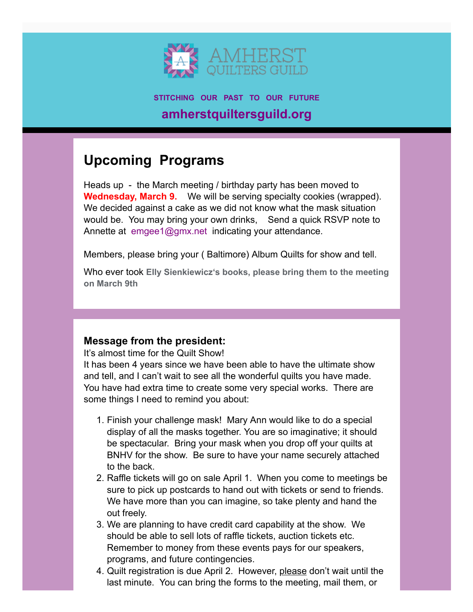

**STITCHING OUR PAST TO OUR FUTURE amherstquiltersguild.org**

# **Upcoming Programs**

Heads up - the March meeting / birthday party has been moved to **Wednesday, March 9.** We will be serving specialty cookies (wrapped). We decided against a cake as we did not know what the mask situation would be. You may bring your own drinks, Send a quick RSVP note to Annette at [emgee1@gmx.net](mailto:emgee1@gmx.net?subject=Birthday%20Party%20RSVP&body=Yes%2C%20I%20will%20attend%20) indicating your attendance.

Members, please bring your ( Baltimore) Album Quilts for show and tell.

Who ever took **Elly Sienkiewicz's books, please bring them to the meeting on March 9th**

## **Message from the president:**

It's almost time for the Quilt Show!

It has been 4 years since we have been able to have the ultimate show and tell, and I can't wait to see all the wonderful quilts you have made. You have had extra time to create some very special works. There are some things I need to remind you about:

- 1. Finish your challenge mask! Mary Ann would like to do a special display of all the masks together. You are so imaginative; it should be spectacular. Bring your mask when you drop off your quilts at BNHV for the show. Be sure to have your name securely attached to the back.
- 2. Raffle tickets will go on sale April 1. When you come to meetings be sure to pick up postcards to hand out with tickets or send to friends. We have more than you can imagine, so take plenty and hand the out freely.
- 3. We are planning to have credit card capability at the show. We should be able to sell lots of raffle tickets, auction tickets etc. Remember to money from these events pays for our speakers, programs, and future contingencies.
- 4. Quilt registration is due April 2. However, please don't wait until the last minute. You can bring the forms to the meeting, mail them, or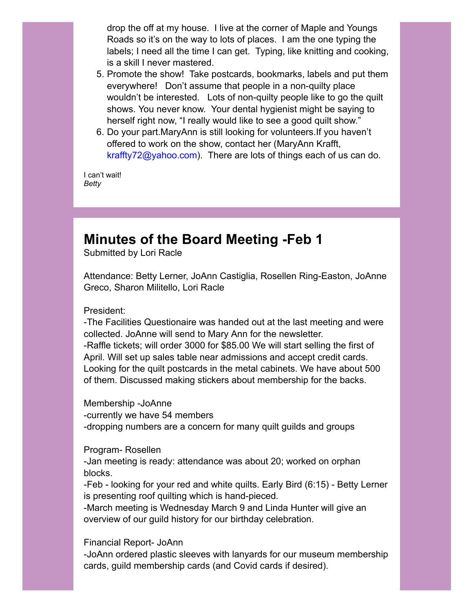drop the off at my house. I live at the corner of Maple and Youngs Roads so it's on the way to lots of places. I am the one typing the labels; I need all the time I can get. Typing, like knitting and cooking, is a skill I never mastered.

- 5. Promote the show! Take postcards, bookmarks, labels and put them everywhere! Don't assume that people in a non-quilty place wouldn't be interested. Lots of non-quilty people like to go the quilt shows. You never know. Your dental hygienist might be saying to herself right now, "I really would like to see a good quilt show."
- 6. Do your part.MaryAnn is still looking for volunteers.If you haven't offered to work on the show, contact her (MaryAnn Krafft, [kraffty72@yahoo.com\)](mailto:kraffty72@yahoo.com). There are lots of things each of us can do.

I can't wait! *Betty*

## **Minutes of the Board Meeting -Feb 1**

Submitted by Lori Racle

Attendance: Betty Lerner, JoAnn Castiglia, Rosellen Ring-Easton, JoAnne Greco, Sharon Militello, Lori Racle

President:

-The Facilities Questionaire was handed out at the last meeting and were collected. JoAnne will send to Mary Ann for the newsletter.

-Raffle tickets; will order 3000 for \$85.00 We will start selling the first of April. Will set up sales table near admissions and accept credit cards. Looking for the quilt postcards in the metal cabinets. We have about 500 of them. Discussed making stickers about membership for the backs.

Membership -JoAnne -currently we have 54 members -dropping numbers are a concern for many quilt guilds and groups

Program- Rosellen

-Jan meeting is ready: attendance was about 20; worked on orphan blocks.

-Feb - looking for your red and white quilts. Early Bird (6:15) - Betty Lerner is presenting roof quilting which is hand-pieced.

-March meeting is Wednesday March 9 and Linda Hunter will give an overview of our guild history for our birthday celebration.

Financial Report- JoAnn

-JoAnn ordered plastic sleeves with lanyards for our museum membership cards, guild membership cards (and Covid cards if desired).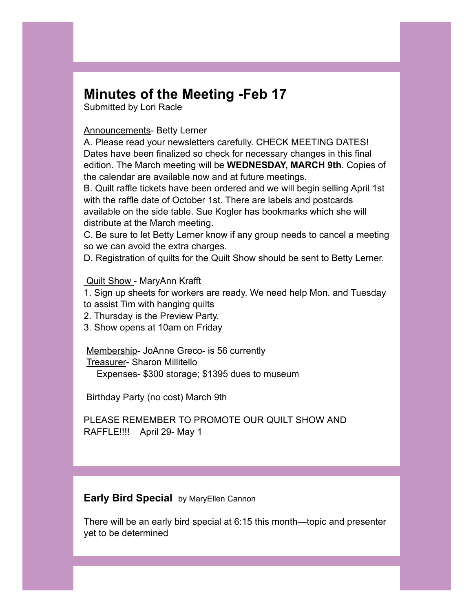## **Minutes of the Meeting -Feb 17**

Submitted by Lori Racle

#### Announcements- Betty Lerner

A. Please read your newsletters carefully. CHECK MEETING DATES! Dates have been finalized so check for necessary changes in this final edition. The March meeting will be **WEDNESDAY, MARCH 9th**. Copies of the calendar are available now and at future meetings.

B. Quilt raffle tickets have been ordered and we will begin selling April 1st with the raffle date of October 1st. There are labels and postcards available on the side table. Sue Kogler has bookmarks which she will distribute at the March meeting.

C. Be sure to let Betty Lerner know if any group needs to cancel a meeting so we can avoid the extra charges.

D. Registration of quilts for the Quilt Show should be sent to Betty Lerner.

#### Quilt Show - MaryAnn Krafft

1. Sign up sheets for workers are ready. We need help Mon. and Tuesday

- to assist Tim with hanging quilts
- 2. Thursday is the Preview Party.
- 3. Show opens at 10am on Friday

Membership- JoAnne Greco- is 56 currently

Treasurer- Sharon Millitello

Expenses- \$300 storage; \$1395 dues to museum

Birthday Party (no cost) March 9th

PLEASE REMEMBER TO PROMOTE OUR QUILT SHOW AND RAFFLE!!!! April 29- May 1

### **Early Bird Special** by MaryEllen Cannon

There will be an early bird special at 6:15 this month—topic and presenter yet to be determined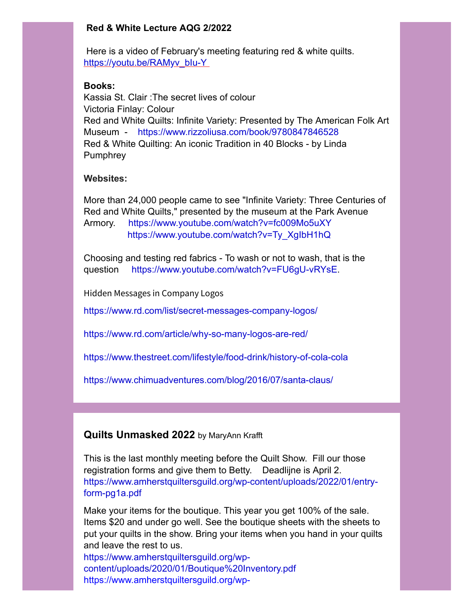### **Red & White Lecture AQG 2/2022**

Here is a video of February's meeting featuring red & white quilts. https://youtu.be/RAMyv\_blu-Y\_

### **Books:**

Kassia St. Clair :The secret lives of colour Victoria Finlay: Colour Red and White Quilts: Infinite Variety: Presented by The American Folk Art Museum - <https://www.rizzoliusa.com/book/9780847846528> Red & White Quilting: An iconic Tradition in 40 Blocks - by Linda **Pumphrey** 

## **Websites:**

More than 24,000 people came to see "Infinite Variety: Three Centuries of Red and White Quilts," presented by the museum at the Park Avenue Armory. <https://www.youtube.com/watch?v=fc009Mo5uXY> [https://www.youtube.com/watch?v=Ty\\_XgIbH1hQ](https://www.youtube.com/watch?v=Ty_XgIbH1hQ)

Choosing and testing red fabrics - To wash or not to wash, that is the question [https://www.youtube.com/watch?v=FU6gU-vRYsE.](https://www.youtube.com/watch?v=FU6gU-vRYsE)

Hidden Messages in Company Logos

<https://www.rd.com/list/secret-messages-company-logos/>

<https://www.rd.com/article/why-so-many-logos-are-red/>

<https://www.thestreet.com/lifestyle/food-drink/history-of-cola-cola>

<https://www.chimuadventures.com/blog/2016/07/santa-claus/>

## **Quilts Unmasked 2022** by MaryAnn Krafft

This is the last monthly meeting before the Quilt Show. Fill our those registration forms and give them to Betty. Deadlijne is April 2. [https://www.amherstquiltersguild.org/wp-content/uploads/2022/01/entry](https://www.amherstquiltersguild.org/wp-content/uploads/2022/01/entry-form-pg1a.pdf)form-pg1a.pdf

Make your items for the boutique. This year you get 100% of the sale. Items \$20 and under go well. See the boutique sheets with the sheets to put your quilts in the show. Bring your items when you hand in your quilts and leave the rest to us.

https://www.amherstquiltersguild.org/wp[content/uploads/2020/01/Boutique%20Inventory.pdf](https://www.amherstquiltersguild.org/wp-content/uploads/2020/01/Boutique%20Inventory.pdf) [https://www.amherstquiltersguild.org/wp-](https://www.amherstquiltersguild.org/wp-content/uploads/2020/01/Boutique.pdf)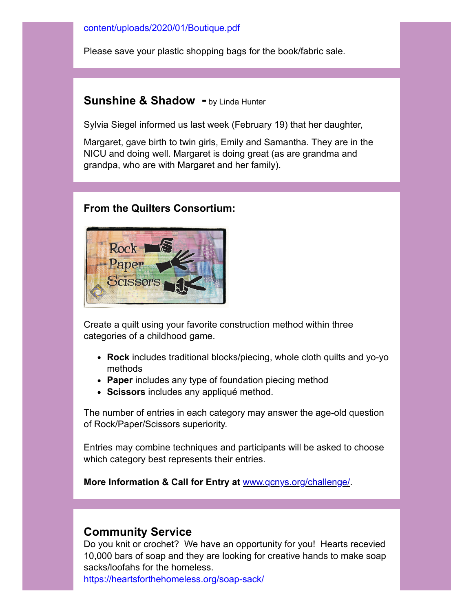### [content/uploads/2020/01/Boutique.pdf](https://www.amherstquiltersguild.org/wp-content/uploads/2020/01/Boutique.pdf)

Please save your plastic shopping bags for the book/fabric sale.

## **Sunshine & Shadow -** by Linda Hunter

Sylvia Siegel informed us last week (February 19) that her daughter,

Margaret, gave birth to twin girls, Emily and Samantha. They are in the NICU and doing well. Margaret is doing great (as are grandma and grandpa, who are with Margaret and her family).

## **From the Quilters Consortium:**



Create a quilt using your favorite construction method within three categories of a childhood game.

- **Rock** includes traditional blocks/piecing, whole cloth quilts and yo-yo methods
- **Paper** includes any type of foundation piecing method
- **Scissors** includes any appliqué method.

The number of entries in each category may answer the age-old question of Rock/Paper/Scissors superiority.

Entries may combine techniques and participants will be asked to choose which category best represents their entries.

**More Information & Call for Entry at** [www.qcnys.org/challenge/.](https://qcnys.us3.list-manage.com/track/click?u=9a0967ae7978ec289ffcbb41c&id=e3e9c2f1bf&e=4eb0bac314)

## **Community Service**

Do you knit or crochet? We have an opportunity for you! Hearts recevied 10,000 bars of soap and they are looking for creative hands to make soap sacks/loofahs for the homeless.

<https://heartsforthehomeless.org/soap-sack/>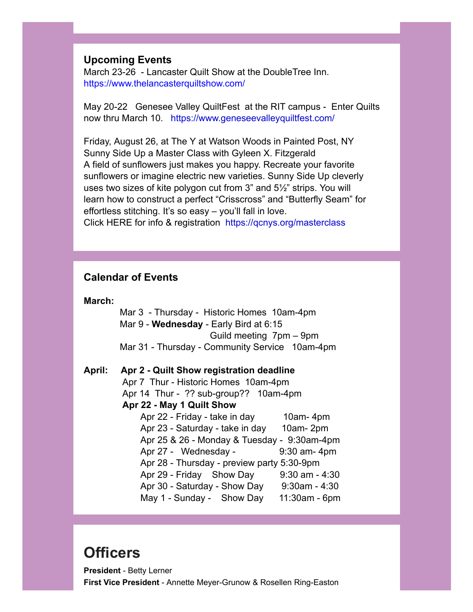### **Upcoming Events**

March 23-26 - Lancaster Quilt Show at the DoubleTree Inn. <https://www.thelancasterquiltshow.com/>

May 20-22 Genesee Valley QuiltFest at the RIT campus - Enter Quilts now thru March 10. <https://www.geneseevalleyquiltfest.com/>

Friday, August 26, at The Y at Watson Woods in Painted Post, NY Sunny Side Up a Master Class with Gyleen X. Fitzgerald A field of sunflowers just makes you happy. Recreate your favorite sunflowers or imagine electric new varieties. Sunny Side Up cleverly uses two sizes of kite polygon cut from 3" and 5½" strips. You will learn how to construct a perfect "Crisscross" and "Butterfly Seam" for effortless stitching. It's so easy – you'll fall in love. Click HERE for info & registration [https://qcnys.org/masterclass](https://qcnys.org/masterclass/)

## **Calendar of Events**

#### **March:**

 Mar 3 - Thursday - Historic Homes 10am-4pm Mar 9 - **Wednesday** - Early Bird at 6:15 Guild meeting 7pm – 9pm Mar 31 - Thursday - Community Service 10am-4pm

**April: Apr 2 - Quilt Show registration deadline** Apr 7 Thur - Historic Homes 10am-4pm Apr 14 Thur - ?? sub-group?? 10am-4pm  **Apr 22 - May 1 Quilt Show**  Apr 22 - Friday - take in day 10am- 4pm Apr 23 - Saturday - take in day 10am- 2pm Apr 25 & 26 - Monday & Tuesday - 9:30am-4pm Apr 27 - Wednesday - 9:30 am - 4pm Apr 28 - Thursday - preview party 5:30-9pm Apr 29 - Friday Show Day 9:30 am - 4:30 Apr 30 - Saturday - Show Day 9:30am - 4:30 May 1 - Sunday - Show Day 11:30am - 6pm

## **Officers**

**President** - Betty Lerner **First Vice President** - Annette Meyer-Grunow & Rosellen Ring-Easton